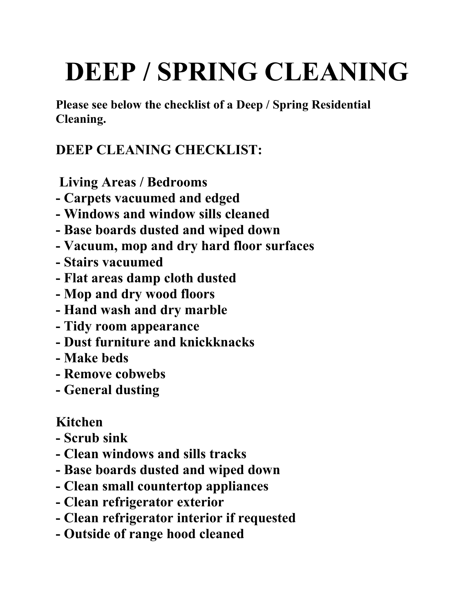## **DEEP / SPRING CLEANING**

**Please see below the checklist of a Deep / Spring Residential Cleaning.**

## **DEEP CLEANING CHECKLIST:**

**Living Areas / Bedrooms**

- **- Carpets vacuumed and edged**
- **- Windows and window sills cleaned**
- **- Base boards dusted and wiped down**
- **- Vacuum, mop and dry hard floor surfaces**
- **- Stairs vacuumed**
- **- Flat areas damp cloth dusted**
- **- Mop and dry wood floors**
- **- Hand wash and dry marble**
- **- Tidy room appearance**
- **- Dust furniture and knickknacks**
- **- Make beds**
- **- Remove cobwebs**
- **- General dusting**

## **Kitchen**

- **- Scrub sink**
- **- Clean windows and sills tracks**
- **- Base boards dusted and wiped down**
- **- Clean small countertop appliances**
- **- Clean refrigerator exterior**
- **- Clean refrigerator interior if requested**
- **- Outside of range hood cleaned**